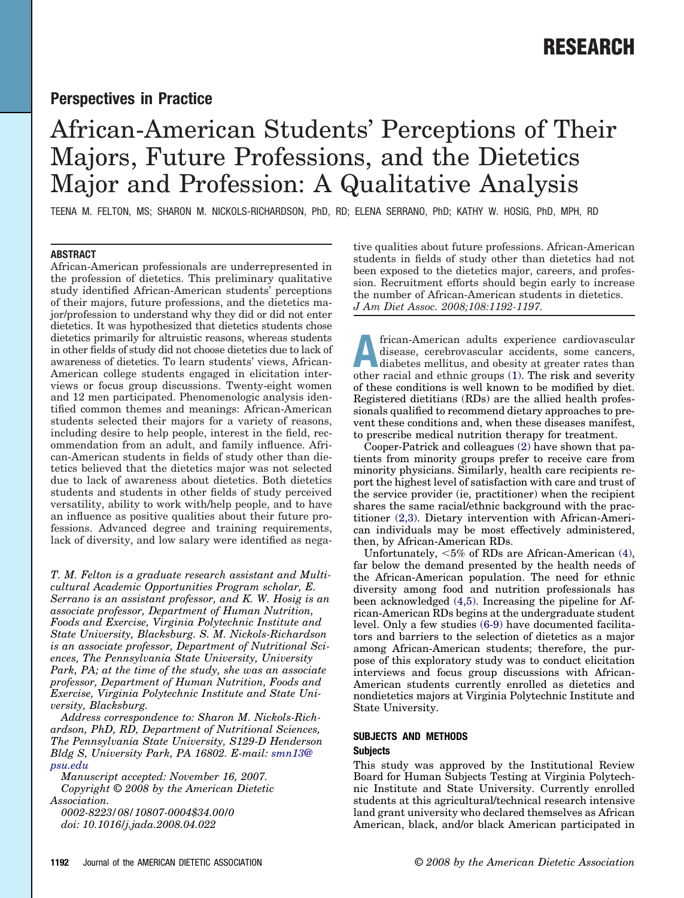# **Perspectives in Practice**

# African-American Students' Perceptions of Their Majors, Future Professions, and the Dietetics Major and Profession: A Qualitative Analysis

TEENA M. FELTON, MS; SHARON M. NICKOLS-RICHARDSON, PhD, RD; ELENA SERRANO, PhD; KATHY W. HOSIG, PhD, MPH, RD

# **ABSTRACT**

African-American professionals are underrepresented in the profession of dietetics. This preliminary qualitative study identified African-American students' perceptions of their majors, future professions, and the dietetics major/profession to understand why they did or did not enter dietetics. It was hypothesized that dietetics students chose dietetics primarily for altruistic reasons, whereas students in other fields of study did not choose dietetics due to lack of awareness of dietetics. To learn students' views, African-American college students engaged in elicitation interviews or focus group discussions. Twenty-eight women and 12 men participated. Phenomenologic analysis identified common themes and meanings: African-American students selected their majors for a variety of reasons, including desire to help people, interest in the field, recommendation from an adult, and family influence. African-American students in fields of study other than dietetics believed that the dietetics major was not selected due to lack of awareness about dietetics. Both dietetics students and students in other fields of study perceived versatility, ability to work with/help people, and to have an influence as positive qualities about their future professions. Advanced degree and training requirements, lack of diversity, and low salary were identified as nega-

*T. M. Felton is a graduate research assistant and Multicultural Academic Opportunities Program scholar, E. Serrano is an assistant professor, and K. W. Hosig is an associate professor, Department of Human Nutrition, Foods and Exercise, Virginia Polytechnic Institute and State University, Blacksburg. S. M. Nickols-Richardson is an associate professor, Department of Nutritional Sciences, The Pennsylvania State University, University Park, PA; at the time of the study, she was an associate professor, Department of Human Nutrition, Foods and Exercise, Virginia Polytechnic Institute and State University, Blacksburg.*

*Address correspondence to: Sharon M. Nickols-Richardson, PhD, RD, Department of Nutritional Sciences, The Pennsylvania State University, S129-D Henderson Bldg S, University Park, PA 16802. E-mail: [smn13@](mailto:smn13@psu.edu) [psu.edu](mailto:smn13@psu.edu)*

*Manuscript accepted: November 16, 2007. Copyright © 2008 by the American Dietetic Association. 0002-8223/08/10807-0004\$34.00/0 doi: 10.1016/j.jada.2008.04.022*

tive qualities about future professions. African-American students in fields of study other than dietetics had not been exposed to the dietetics major, careers, and profession. Recruitment efforts should begin early to increase the number of African-American students in dietetics. *J Am Diet Assoc. 2008;108:1192-1197.*

**African-American adults experience cardiovascular**<br>disease, cerebrovascular accidents, some cancers,<br>diabetes mellitus, and obesity at greater rates than<br>other racial and othnic groups (1). The risk and soucritu disease, cerebrovascular accidents, some cancers, other racial and ethnic groups [\(1\).](#page-5-0) The risk and severity of these conditions is well known to be modified by diet. Registered dietitians (RDs) are the allied health professionals qualified to recommend dietary approaches to prevent these conditions and, when these diseases manifest, to prescribe medical nutrition therapy for treatment.

Cooper-Patrick and colleagues [\(2\)](#page-5-0) have shown that patients from minority groups prefer to receive care from minority physicians. Similarly, health care recipients report the highest level of satisfaction with care and trust of the service provider (ie, practitioner) when the recipient shares the same racial/ethnic background with the practitioner [\(2,3\).](#page-5-0) Dietary intervention with African-American individuals may be most effectively administered, then, by African-American RDs.

Unfortunately,  $<5\%$  of RDs are African-American  $(4)$ , far below the demand presented by the health needs of the African-American population. The need for ethnic diversity among food and nutrition professionals has been acknowledged [\(4,5\).](#page-5-0) Increasing the pipeline for African-American RDs begins at the undergraduate student level. Only a few studies [\(6-9\)](#page-5-0) have documented facilitators and barriers to the selection of dietetics as a major among African-American students; therefore, the purpose of this exploratory study was to conduct elicitation interviews and focus group discussions with African-American students currently enrolled as dietetics and nondietetics majors at Virginia Polytechnic Institute and State University.

# **SUBJECTS AND METHODS Subjects**

This study was approved by the Institutional Review Board for Human Subjects Testing at Virginia Polytechnic Institute and State University. Currently enrolled students at this agricultural/technical research intensive land grant university who declared themselves as African American, black, and/or black American participated in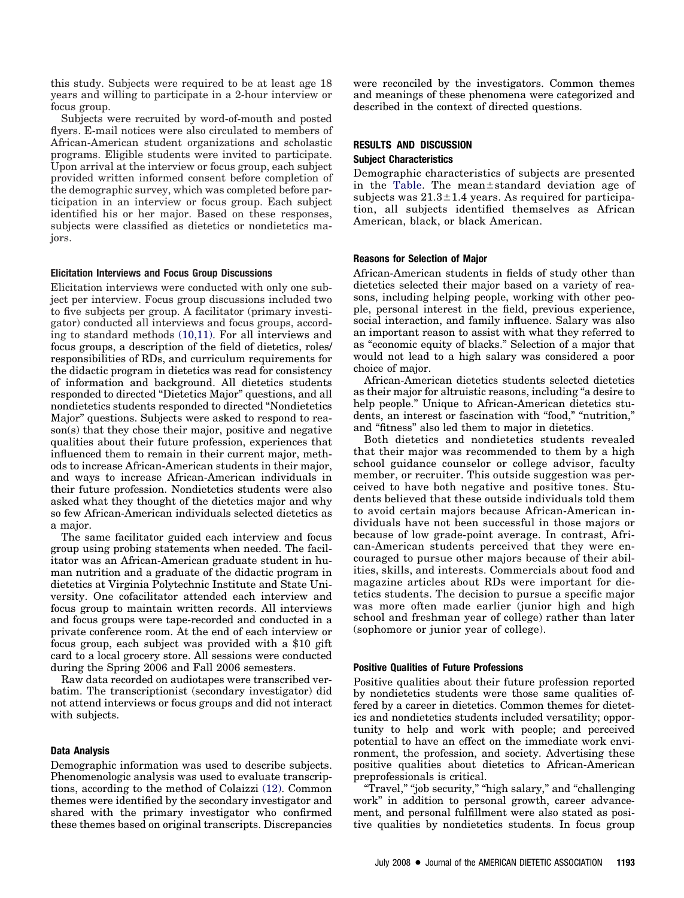this study. Subjects were required to be at least age 18 years and willing to participate in a 2-hour interview or focus group.

Subjects were recruited by word-of-mouth and posted flyers. E-mail notices were also circulated to members of African-American student organizations and scholastic programs. Eligible students were invited to participate. Upon arrival at the interview or focus group, each subject provided written informed consent before completion of the demographic survey, which was completed before participation in an interview or focus group. Each subject identified his or her major. Based on these responses, subjects were classified as dietetics or nondietetics majors.

#### **Elicitation Interviews and Focus Group Discussions**

Elicitation interviews were conducted with only one subject per interview. Focus group discussions included two to five subjects per group. A facilitator (primary investigator) conducted all interviews and focus groups, according to standard methods [\(10,11\).](#page-5-0) For all interviews and focus groups, a description of the field of dietetics, roles/ responsibilities of RDs, and curriculum requirements for the didactic program in dietetics was read for consistency of information and background. All dietetics students responded to directed "Dietetics Major" questions, and all nondietetics students responded to directed "Nondietetics Major" questions. Subjects were asked to respond to reason(s) that they chose their major, positive and negative qualities about their future profession, experiences that influenced them to remain in their current major, methods to increase African-American students in their major, and ways to increase African-American individuals in their future profession. Nondietetics students were also asked what they thought of the dietetics major and why so few African-American individuals selected dietetics as a major.

The same facilitator guided each interview and focus group using probing statements when needed. The facilitator was an African-American graduate student in human nutrition and a graduate of the didactic program in dietetics at Virginia Polytechnic Institute and State University. One cofacilitator attended each interview and focus group to maintain written records. All interviews and focus groups were tape-recorded and conducted in a private conference room. At the end of each interview or focus group, each subject was provided with a \$10 gift card to a local grocery store. All sessions were conducted during the Spring 2006 and Fall 2006 semesters.

Raw data recorded on audiotapes were transcribed verbatim. The transcriptionist (secondary investigator) did not attend interviews or focus groups and did not interact with subjects.

#### **Data Analysis**

Demographic information was used to describe subjects. Phenomenologic analysis was used to evaluate transcriptions, according to the method of Colaizzi [\(12\).](#page-5-0) Common themes were identified by the secondary investigator and shared with the primary investigator who confirmed these themes based on original transcripts. Discrepancies were reconciled by the investigators. Common themes and meanings of these phenomena were categorized and described in the context of directed questions.

# **RESULTS AND DISCUSSION Subject Characteristics**

Demographic characteristics of subjects are presented in the [Table.](#page-2-0) The mean±standard deviation age of subjects was  $21.3 \pm 1.4$  years. As required for participation, all subjects identified themselves as African American, black, or black American.

#### **Reasons for Selection of Major**

African-American students in fields of study other than dietetics selected their major based on a variety of reasons, including helping people, working with other people, personal interest in the field, previous experience, social interaction, and family influence. Salary was also an important reason to assist with what they referred to as "economic equity of blacks." Selection of a major that would not lead to a high salary was considered a poor choice of major.

African-American dietetics students selected dietetics as their major for altruistic reasons, including "a desire to help people." Unique to African-American dietetics students, an interest or fascination with "food," "nutrition," and "fitness" also led them to major in dietetics.

Both dietetics and nondietetics students revealed that their major was recommended to them by a high school guidance counselor or college advisor, faculty member, or recruiter. This outside suggestion was perceived to have both negative and positive tones. Students believed that these outside individuals told them to avoid certain majors because African-American individuals have not been successful in those majors or because of low grade-point average. In contrast, African-American students perceived that they were encouraged to pursue other majors because of their abilities, skills, and interests. Commercials about food and magazine articles about RDs were important for dietetics students. The decision to pursue a specific major was more often made earlier (junior high and high school and freshman year of college) rather than later (sophomore or junior year of college).

#### **Positive Qualities of Future Professions**

Positive qualities about their future profession reported by nondietetics students were those same qualities offered by a career in dietetics. Common themes for dietetics and nondietetics students included versatility; opportunity to help and work with people; and perceived potential to have an effect on the immediate work environment, the profession, and society. Advertising these positive qualities about dietetics to African-American preprofessionals is critical.

"Travel," "job security," "high salary," and "challenging work" in addition to personal growth, career advancement, and personal fulfillment were also stated as positive qualities by nondietetics students. In focus group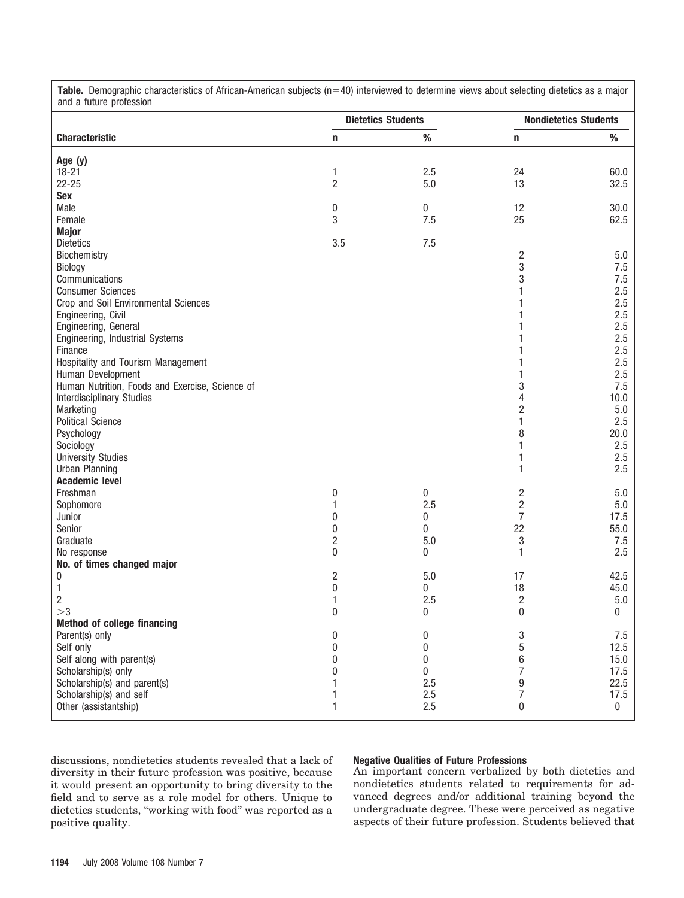| and a future profession                                 |                           |            |                              |              |
|---------------------------------------------------------|---------------------------|------------|------------------------------|--------------|
|                                                         | <b>Dietetics Students</b> |            | <b>Nondietetics Students</b> |              |
| <b>Characteristic</b>                                   | n                         | ℅          | n                            | %            |
| Age (y)                                                 |                           |            |                              |              |
| $18 - 21$                                               | 1                         | 2.5        | 24                           | 60.0         |
| $22 - 25$                                               | 2                         | 5.0        | 13                           | 32.5         |
| <b>Sex</b>                                              |                           |            |                              |              |
| Male                                                    | 0                         | $\pmb{0}$  | 12                           | 30.0         |
| Female                                                  | 3                         | 7.5        | 25                           | 62.5         |
| <b>Major</b>                                            |                           |            |                              |              |
| <b>Dietetics</b>                                        | 3.5                       | 7.5        |                              |              |
| Biochemistry                                            |                           |            | 2                            | 5.0          |
| Biology                                                 |                           |            | 3                            | 7.5          |
| Communications                                          |                           |            | 3                            | 7.5          |
| <b>Consumer Sciences</b>                                |                           |            | 1                            | 2.5          |
| Crop and Soil Environmental Sciences                    |                           |            |                              | 2.5          |
| Engineering, Civil                                      |                           |            |                              | 2.5          |
| Engineering, General                                    |                           |            |                              | 2.5          |
| Engineering, Industrial Systems                         |                           |            |                              | 2.5          |
| Finance                                                 |                           |            |                              | 2.5          |
| Hospitality and Tourism Management<br>Human Development |                           |            | 1                            | 2.5<br>2.5   |
| Human Nutrition, Foods and Exercise, Science of         |                           |            | 3                            | 7.5          |
| <b>Interdisciplinary Studies</b>                        |                           |            | 4                            | 10.0         |
| Marketing                                               |                           |            | $\overline{2}$               | 5.0          |
| <b>Political Science</b>                                |                           |            | 1                            | 2.5          |
| Psychology                                              |                           |            | 8                            | 20.0         |
| Sociology                                               |                           |            | 1                            | 2.5          |
| <b>University Studies</b>                               |                           |            | 1                            | 2.5          |
| <b>Urban Planning</b>                                   |                           |            | 1                            | 2.5          |
| <b>Academic level</b>                                   |                           |            |                              |              |
| Freshman                                                | 0                         | $\pmb{0}$  | 2                            | 5.0          |
| Sophomore                                               | 1                         | 2.5        | 2                            | 5.0          |
| Junior                                                  | 0                         | 0          | 7                            | 17.5         |
| Senior                                                  | 0                         | 0          | 22                           | 55.0         |
| Graduate                                                | 2                         | 5.0        | 3                            | 7.5          |
| No response                                             | 0                         | 0          | 1                            | 2.5          |
| No. of times changed major                              |                           |            |                              |              |
| 0                                                       | 2                         | 5.0        | 17                           | 42.5         |
| $\mathbf{1}$                                            | 0                         | 0          | 18                           | 45.0         |
| $\overline{c}$                                          | 1                         | 2.5        | $\overline{\mathbf{c}}$      | 5.0          |
| >3                                                      | $\mathbf{0}$              | 0          | $\mathbf{0}$                 | 0            |
| <b>Method of college financing</b>                      |                           |            |                              |              |
| Parent(s) only                                          | 0                         | 0          | 3                            | 7.5          |
| Self only                                               | 0                         | 0          | 5                            | 12.5         |
| Self along with parent(s)                               | 0                         | 0          | 6                            | 15.0         |
| Scholarship(s) only<br>Scholarship(s) and parent(s)     |                           | 0          | 7                            | 17.5         |
| Scholarship(s) and self                                 | 1                         | 2.5<br>2.5 | 9<br>7                       | 22.5<br>17.5 |
| Other (assistantship)                                   | 1                         | 2.5        | 0                            | $\pmb{0}$    |
|                                                         |                           |            |                              |              |

<span id="page-2-0"></span>Table. Demographic characteristics of African-American subjects (n=40) interviewed to determine views about selecting dietetics as a major

discussions, nondietetics students revealed that a lack of diversity in their future profession was positive, because it would present an opportunity to bring diversity to the field and to serve as a role model for others. Unique to dietetics students, "working with food" was reported as a positive quality.

# **Negative Qualities of Future Professions**

An important concern verbalized by both dietetics and nondietetics students related to requirements for advanced degrees and/or additional training beyond the undergraduate degree. These were perceived as negative aspects of their future profession. Students believed that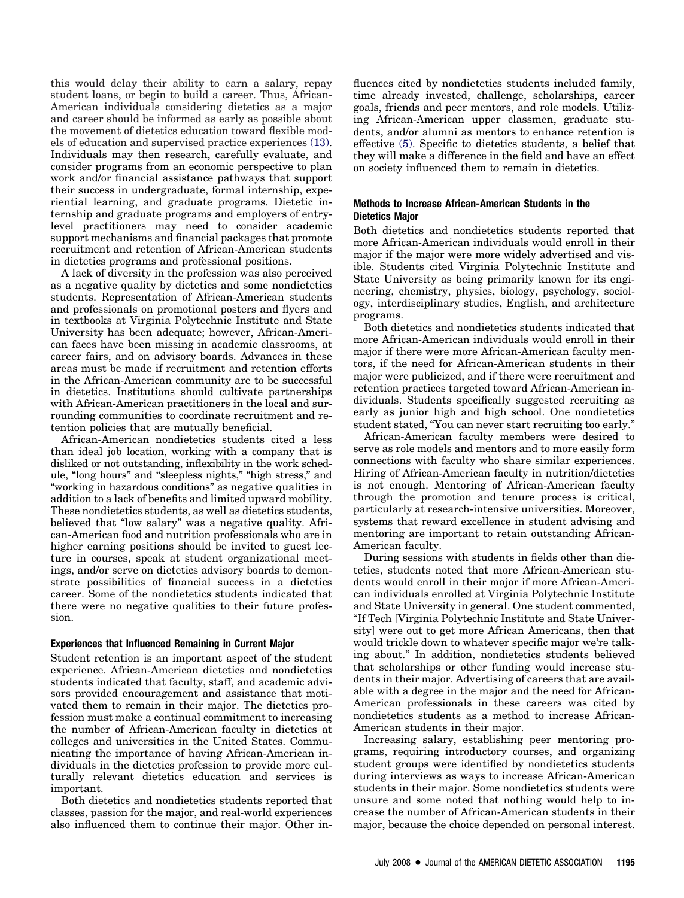this would delay their ability to earn a salary, repay student loans, or begin to build a career. Thus, African-American individuals considering dietetics as a major and career should be informed as early as possible about the movement of dietetics education toward flexible models of education and supervised practice experiences [\(13\).](#page-5-0) Individuals may then research, carefully evaluate, and consider programs from an economic perspective to plan work and/or financial assistance pathways that support their success in undergraduate, formal internship, experiential learning, and graduate programs. Dietetic internship and graduate programs and employers of entrylevel practitioners may need to consider academic support mechanisms and financial packages that promote recruitment and retention of African-American students in dietetics programs and professional positions.

A lack of diversity in the profession was also perceived as a negative quality by dietetics and some nondietetics students. Representation of African-American students and professionals on promotional posters and flyers and in textbooks at Virginia Polytechnic Institute and State University has been adequate; however, African-American faces have been missing in academic classrooms, at career fairs, and on advisory boards. Advances in these areas must be made if recruitment and retention efforts in the African-American community are to be successful in dietetics. Institutions should cultivate partnerships with African-American practitioners in the local and surrounding communities to coordinate recruitment and retention policies that are mutually beneficial.

African-American nondietetics students cited a less than ideal job location, working with a company that is disliked or not outstanding, inflexibility in the work schedule, "long hours" and "sleepless nights," "high stress," and "working in hazardous conditions" as negative qualities in addition to a lack of benefits and limited upward mobility. These nondietetics students, as well as dietetics students, believed that "low salary" was a negative quality. African-American food and nutrition professionals who are in higher earning positions should be invited to guest lecture in courses, speak at student organizational meetings, and/or serve on dietetics advisory boards to demonstrate possibilities of financial success in a dietetics career. Some of the nondietetics students indicated that there were no negative qualities to their future profession.

# **Experiences that Influenced Remaining in Current Major**

Student retention is an important aspect of the student experience. African-American dietetics and nondietetics students indicated that faculty, staff, and academic advisors provided encouragement and assistance that motivated them to remain in their major. The dietetics profession must make a continual commitment to increasing the number of African-American faculty in dietetics at colleges and universities in the United States. Communicating the importance of having African-American individuals in the dietetics profession to provide more culturally relevant dietetics education and services is important.

Both dietetics and nondietetics students reported that classes, passion for the major, and real-world experiences also influenced them to continue their major. Other influences cited by nondietetics students included family, time already invested, challenge, scholarships, career goals, friends and peer mentors, and role models. Utilizing African-American upper classmen, graduate students, and/or alumni as mentors to enhance retention is effective [\(5\).](#page-5-0) Specific to dietetics students, a belief that they will make a difference in the field and have an effect on society influenced them to remain in dietetics.

### **Methods to Increase African-American Students in the Dietetics Major**

Both dietetics and nondietetics students reported that more African-American individuals would enroll in their major if the major were more widely advertised and visible. Students cited Virginia Polytechnic Institute and State University as being primarily known for its engineering, chemistry, physics, biology, psychology, sociology, interdisciplinary studies, English, and architecture programs.

Both dietetics and nondietetics students indicated that more African-American individuals would enroll in their major if there were more African-American faculty mentors, if the need for African-American students in their major were publicized, and if there were recruitment and retention practices targeted toward African-American individuals. Students specifically suggested recruiting as early as junior high and high school. One nondietetics student stated, "You can never start recruiting too early."

African-American faculty members were desired to serve as role models and mentors and to more easily form connections with faculty who share similar experiences. Hiring of African-American faculty in nutrition/dietetics is not enough. Mentoring of African-American faculty through the promotion and tenure process is critical, particularly at research-intensive universities. Moreover, systems that reward excellence in student advising and mentoring are important to retain outstanding African-American faculty.

During sessions with students in fields other than dietetics, students noted that more African-American students would enroll in their major if more African-American individuals enrolled at Virginia Polytechnic Institute and State University in general. One student commented, "If Tech [Virginia Polytechnic Institute and State University] were out to get more African Americans, then that would trickle down to whatever specific major we're talking about." In addition, nondietetics students believed that scholarships or other funding would increase students in their major. Advertising of careers that are available with a degree in the major and the need for African-American professionals in these careers was cited by nondietetics students as a method to increase African-American students in their major.

Increasing salary, establishing peer mentoring programs, requiring introductory courses, and organizing student groups were identified by nondietetics students during interviews as ways to increase African-American students in their major. Some nondietetics students were unsure and some noted that nothing would help to increase the number of African-American students in their major, because the choice depended on personal interest.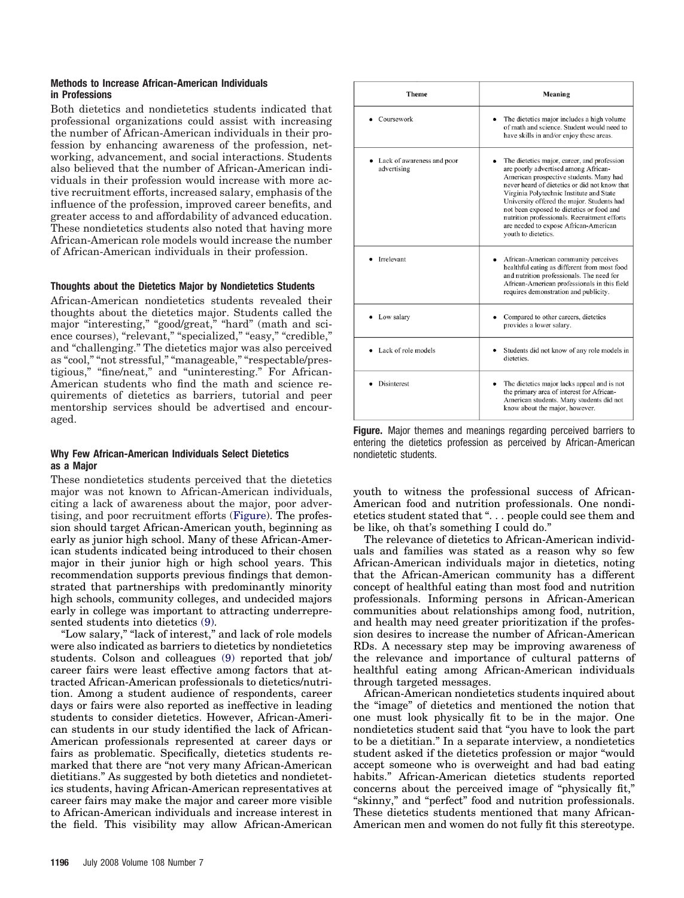# **Methods to Increase African-American Individuals in Professions**

Both dietetics and nondietetics students indicated that professional organizations could assist with increasing the number of African-American individuals in their profession by enhancing awareness of the profession, networking, advancement, and social interactions. Students also believed that the number of African-American individuals in their profession would increase with more active recruitment efforts, increased salary, emphasis of the influence of the profession, improved career benefits, and greater access to and affordability of advanced education. These nondietetics students also noted that having more African-American role models would increase the number of African-American individuals in their profession.

# **Thoughts about the Dietetics Major by Nondietetics Students**

African-American nondietetics students revealed their thoughts about the dietetics major. Students called the major "interesting," "good/great," "hard" (math and science courses), "relevant," "specialized," "easy," "credible," and "challenging." The dietetics major was also perceived as "cool," "not stressful," "manageable," "respectable/prestigious," "fine/neat," and "uninteresting." For African-American students who find the math and science requirements of dietetics as barriers, tutorial and peer mentorship services should be advertised and encouraged.

# **Why Few African-American Individuals Select Dietetics as a Major**

These nondietetics students perceived that the dietetics major was not known to African-American individuals, citing a lack of awareness about the major, poor advertising, and poor recruitment efforts (Figure). The profession should target African-American youth, beginning as early as junior high school. Many of these African-American students indicated being introduced to their chosen major in their junior high or high school years. This recommendation supports previous findings that demonstrated that partnerships with predominantly minority high schools, community colleges, and undecided majors early in college was important to attracting underrepresented students into dietetics [\(9\).](#page-5-0)

"Low salary," "lack of interest," and lack of role models were also indicated as barriers to dietetics by nondietetics students. Colson and colleagues [\(9\)](#page-5-0) reported that job/ career fairs were least effective among factors that attracted African-American professionals to dietetics/nutrition. Among a student audience of respondents, career days or fairs were also reported as ineffective in leading students to consider dietetics. However, African-American students in our study identified the lack of African-American professionals represented at career days or fairs as problematic. Specifically, dietetics students remarked that there are "not very many African-American dietitians." As suggested by both dietetics and nondietetics students, having African-American representatives at career fairs may make the major and career more visible to African-American individuals and increase interest in the field. This visibility may allow African-American

| <b>Theme</b>                              | Meaning                                                                                                                                                                                                                                                                                                                                                                                                                                |  |  |
|-------------------------------------------|----------------------------------------------------------------------------------------------------------------------------------------------------------------------------------------------------------------------------------------------------------------------------------------------------------------------------------------------------------------------------------------------------------------------------------------|--|--|
| Coursework                                | The dietetics major includes a high volume<br>of math and science. Student would need to<br>have skills in and/or enjoy these areas.                                                                                                                                                                                                                                                                                                   |  |  |
| Lack of awareness and poor<br>advertising | The dietetics major, career, and profession<br>are poorly advertised among African-<br>American prospective students. Many had<br>never heard of dietetics or did not know that<br>Virginia Polytechnic Institute and State<br>University offered the major. Students had<br>not been exposed to dietetics or food and<br>nutrition professionals. Recruitment efforts<br>are needed to expose African-American<br>youth to dietetics. |  |  |
| Irrelevant                                | African-American community perceives<br>healthful eating as different from most food<br>and nutrition professionals. The need for<br>African-American professionals in this field<br>requires demonstration and publicity.                                                                                                                                                                                                             |  |  |
| Low salary                                | Compared to other careers, dietetics<br>provides a lower salary.                                                                                                                                                                                                                                                                                                                                                                       |  |  |
| Lack of role models                       | Students did not know of any role models in<br>dietetics.                                                                                                                                                                                                                                                                                                                                                                              |  |  |
| Disinterest                               | The dietetics major lacks appeal and is not<br>the primary area of interest for African-<br>American students. Many students did not<br>know about the major, however.                                                                                                                                                                                                                                                                 |  |  |

**Figure.** Major themes and meanings regarding perceived barriers to entering the dietetics profession as perceived by African-American nondietetic students.

youth to witness the professional success of African-American food and nutrition professionals. One nondietetics student stated that ". . . people could see them and be like, oh that's something I could do."

The relevance of dietetics to African-American individuals and families was stated as a reason why so few African-American individuals major in dietetics, noting that the African-American community has a different concept of healthful eating than most food and nutrition professionals. Informing persons in African-American communities about relationships among food, nutrition, and health may need greater prioritization if the profession desires to increase the number of African-American RDs. A necessary step may be improving awareness of the relevance and importance of cultural patterns of healthful eating among African-American individuals through targeted messages.

African-American nondietetics students inquired about the "image" of dietetics and mentioned the notion that one must look physically fit to be in the major. One nondietetics student said that "you have to look the part to be a dietitian." In a separate interview, a nondietetics student asked if the dietetics profession or major "would accept someone who is overweight and had bad eating habits." African-American dietetics students reported concerns about the perceived image of "physically fit," "skinny," and "perfect" food and nutrition professionals. These dietetics students mentioned that many African-American men and women do not fully fit this stereotype.